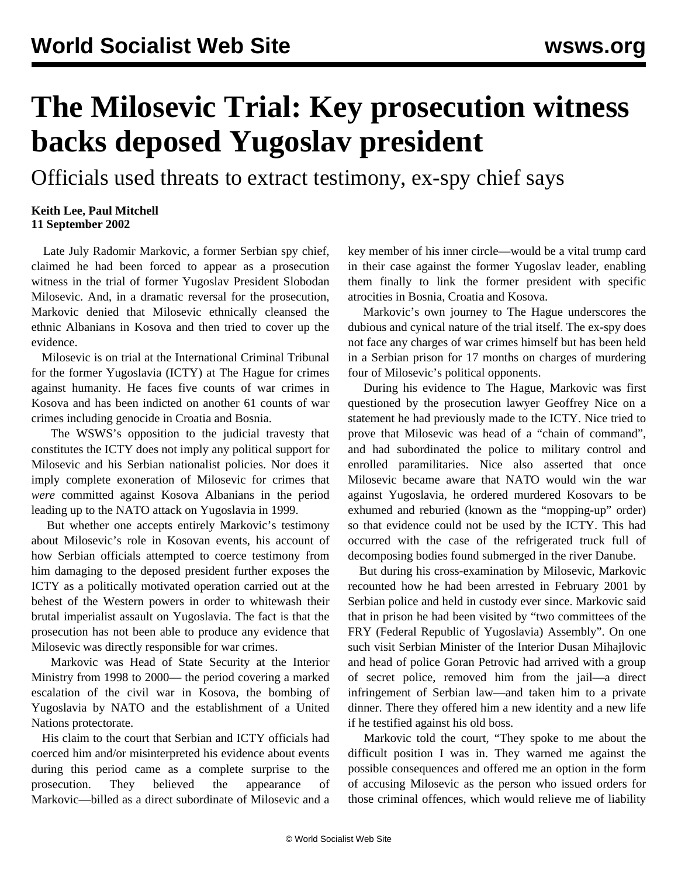## **The Milosevic Trial: Key prosecution witness backs deposed Yugoslav president**

Officials used threats to extract testimony, ex-spy chief says

## **Keith Lee, Paul Mitchell 11 September 2002**

 Late July Radomir Markovic, a former Serbian spy chief, claimed he had been forced to appear as a prosecution witness in the trial of former Yugoslav President Slobodan Milosevic. And, in a dramatic reversal for the prosecution, Markovic denied that Milosevic ethnically cleansed the ethnic Albanians in Kosova and then tried to cover up the evidence.

 Milosevic is on trial at the International Criminal Tribunal for the former Yugoslavia (ICTY) at The Hague for crimes against humanity. He faces five counts of war crimes in Kosova and has been indicted on another 61 counts of war crimes including genocide in Croatia and Bosnia.

 The WSWS's opposition to the judicial travesty that constitutes the ICTY does not imply any political support for Milosevic and his Serbian nationalist policies. Nor does it imply complete exoneration of Milosevic for crimes that *were* committed against Kosova Albanians in the period leading up to the NATO attack on Yugoslavia in 1999.

 But whether one accepts entirely Markovic's testimony about Milosevic's role in Kosovan events, his account of how Serbian officials attempted to coerce testimony from him damaging to the deposed president further exposes the ICTY as a politically motivated operation carried out at the behest of the Western powers in order to whitewash their brutal imperialist assault on Yugoslavia. The fact is that the prosecution has not been able to produce any evidence that Milosevic was directly responsible for war crimes.

 Markovic was Head of State Security at the Interior Ministry from 1998 to 2000— the period covering a marked escalation of the civil war in Kosova, the bombing of Yugoslavia by NATO and the establishment of a United Nations protectorate.

 His claim to the court that Serbian and ICTY officials had coerced him and/or misinterpreted his evidence about events during this period came as a complete surprise to the prosecution. They believed the appearance of Markovic—billed as a direct subordinate of Milosevic and a key member of his inner circle—would be a vital trump card in their case against the former Yugoslav leader, enabling them finally to link the former president with specific atrocities in Bosnia, Croatia and Kosova.

 Markovic's own journey to The Hague underscores the dubious and cynical nature of the trial itself. The ex-spy does not face any charges of war crimes himself but has been held in a Serbian prison for 17 months on charges of murdering four of Milosevic's political opponents.

 During his evidence to The Hague, Markovic was first questioned by the prosecution lawyer Geoffrey Nice on a statement he had previously made to the ICTY. Nice tried to prove that Milosevic was head of a "chain of command", and had subordinated the police to military control and enrolled paramilitaries. Nice also asserted that once Milosevic became aware that NATO would win the war against Yugoslavia, he ordered murdered Kosovars to be exhumed and reburied (known as the "mopping-up" order) so that evidence could not be used by the ICTY. This had occurred with the case of the refrigerated truck full of decomposing bodies found submerged in the river Danube.

 But during his cross-examination by Milosevic, Markovic recounted how he had been arrested in February 2001 by Serbian police and held in custody ever since. Markovic said that in prison he had been visited by "two committees of the FRY (Federal Republic of Yugoslavia) Assembly". On one such visit Serbian Minister of the Interior Dusan Mihajlovic and head of police Goran Petrovic had arrived with a group of secret police, removed him from the jail—a direct infringement of Serbian law—and taken him to a private dinner. There they offered him a new identity and a new life if he testified against his old boss.

 Markovic told the court, "They spoke to me about the difficult position I was in. They warned me against the possible consequences and offered me an option in the form of accusing Milosevic as the person who issued orders for those criminal offences, which would relieve me of liability